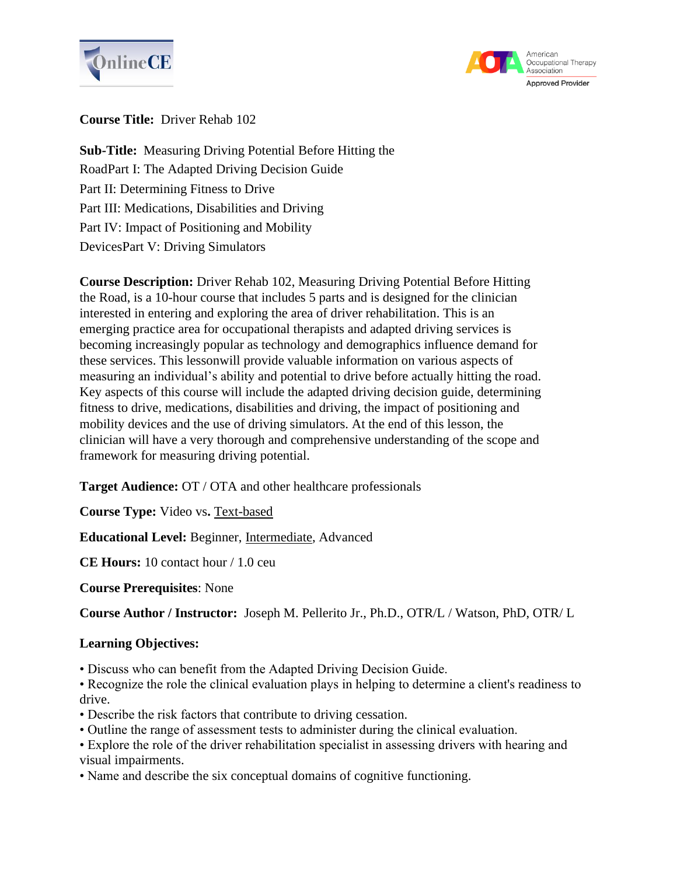



## **Course Title:** Driver Rehab 102

**Sub-Title:** Measuring Driving Potential Before Hitting the RoadPart I: The Adapted Driving Decision Guide Part II: Determining Fitness to Drive Part III: Medications, Disabilities and Driving Part IV: Impact of Positioning and Mobility DevicesPart V: Driving Simulators

**Course Description:** Driver Rehab 102, Measuring Driving Potential Before Hitting the Road, is a 10-hour course that includes 5 parts and is designed for the clinician interested in entering and exploring the area of driver rehabilitation. This is an emerging practice area for occupational therapists and adapted driving services is becoming increasingly popular as technology and demographics influence demand for these services. This lessonwill provide valuable information on various aspects of measuring an individual's ability and potential to drive before actually hitting the road. Key aspects of this course will include the adapted driving decision guide, determining fitness to drive, medications, disabilities and driving, the impact of positioning and mobility devices and the use of driving simulators. At the end of this lesson, the clinician will have a very thorough and comprehensive understanding of the scope and framework for measuring driving potential.

**Target Audience:** OT / OTA and other healthcare professionals

**Course Type:** Video vs**.** Text-based

**Educational Level:** Beginner, Intermediate, Advanced

**CE Hours:** 10 contact hour / 1.0 ceu

**Course Prerequisites**: None

**Course Author / Instructor:** Joseph M. Pellerito Jr., Ph.D., OTR/L / Watson, PhD, OTR/ L

## **Learning Objectives:**

• Discuss who can benefit from the Adapted Driving Decision Guide.

• Recognize the role the clinical evaluation plays in helping to determine a client's readiness to drive.

- Describe the risk factors that contribute to driving cessation.
- Outline the range of assessment tests to administer during the clinical evaluation.
- Explore the role of the driver rehabilitation specialist in assessing drivers with hearing and visual impairments.
- Name and describe the six conceptual domains of cognitive functioning.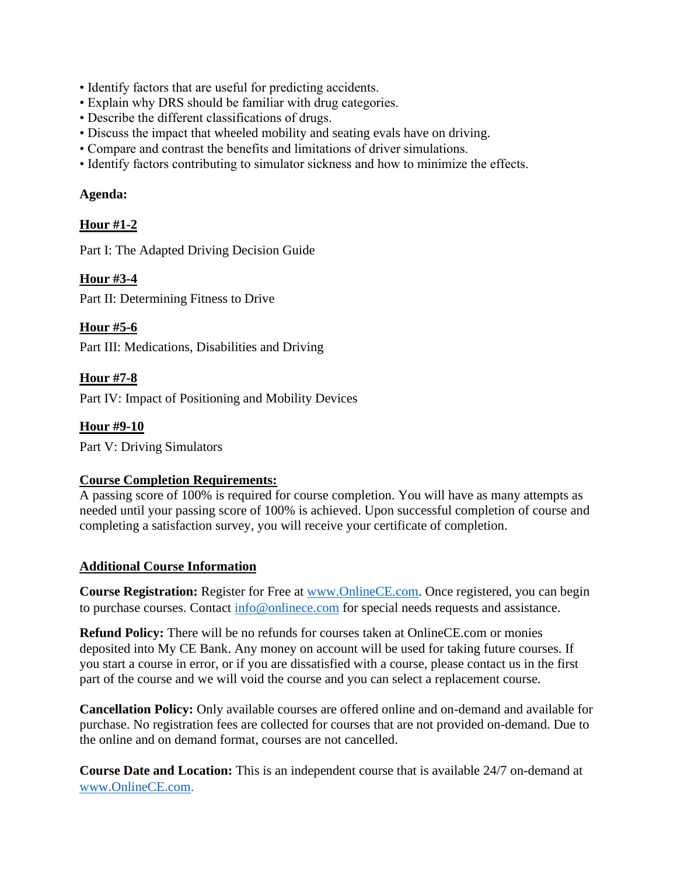- Identify factors that are useful for predicting accidents.
- Explain why DRS should be familiar with drug categories.
- Describe the different classifications of drugs.
- Discuss the impact that wheeled mobility and seating evals have on driving.
- Compare and contrast the benefits and limitations of driver simulations.
- Identify factors contributing to simulator sickness and how to minimize the effects.

#### **Agenda:**

## **Hour #1-2**

Part I: The Adapted Driving Decision Guide

## **Hour #3-4**

Part II: Determining Fitness to Drive

#### **Hour #5-6**

Part III: Medications, Disabilities and Driving

#### **Hour #7-8**

Part IV: Impact of Positioning and Mobility Devices

**Hour #9-10** Part V: Driving Simulators

# **Course Completion Requirements:**

A passing score of 100% is required for course completion. You will have as many attempts as needed until your passing score of 100% is achieved. Upon successful completion of course and completing a satisfaction survey, you will receive your certificate of completion.

## **Additional Course Information**

**Course Registration:** Register for Free at [www.OnlineCE.com.](http://www.onlinece.com/) Once registered, you can begin to purchase courses. Contact [info@onlinece.com](mailto:info@onlinece.com) for special needs requests and assistance.

**Refund Policy:** There will be no refunds for courses taken at OnlineCE.com or monies deposited into My CE Bank. Any money on account will be used for taking future courses. If you start a course in error, or if you are dissatisfied with a course, please contact us in the first part of the course and we will void the course and you can select a replacement course.

**Cancellation Policy:** Only available courses are offered online and on-demand and available for purchase. No registration fees are collected for courses that are not provided on-demand. Due to the online and on demand format, courses are not cancelled.

**Course Date and Location:** This is an independent course that is available 24/7 on-demand at [www.OnlineCE.com.](http://www.onlinece.com/)